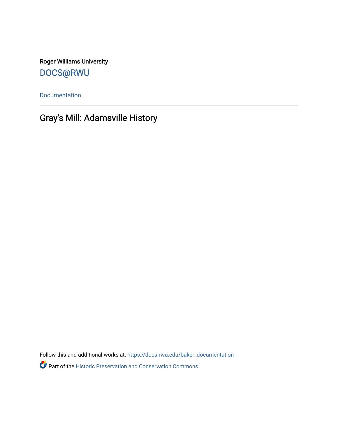Roger Williams University [DOCS@RWU](https://docs.rwu.edu/)

[Documentation](https://docs.rwu.edu/baker_documentation) 

## Gray's Mill: Adamsville History

Follow this and additional works at: [https://docs.rwu.edu/baker\\_documentation](https://docs.rwu.edu/baker_documentation?utm_source=docs.rwu.edu%2Fbaker_documentation%2F64&utm_medium=PDF&utm_campaign=PDFCoverPages) 

Part of the [Historic Preservation and Conservation Commons](http://network.bepress.com/hgg/discipline/781?utm_source=docs.rwu.edu%2Fbaker_documentation%2F64&utm_medium=PDF&utm_campaign=PDFCoverPages)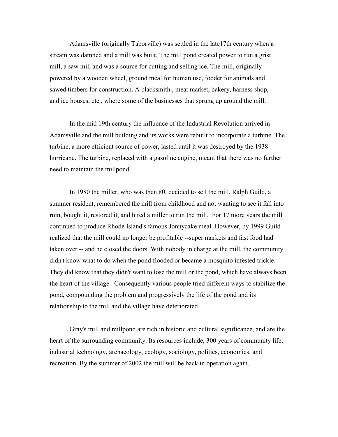Adamsville (originally Taborville) was settled in the late17th century when a stream was damned and a mill was built. The mill pond created power to run a grist mill, a saw mill and was a source for cutting and selling ice. The mill, originally powered by a wooden wheel, ground meal for human use, fodder for animals and sawed timbers for construction. A blacksmith , meat market, bakery, harness shop, and ice houses, etc., where some of the businesses that sprung up around the mill.

In the mid 19th century the influence of the Industrial Revolution arrived in Adamsville and the mill building and its works were rebuilt to incorporate a turbine. The turbine, a more efficient source of power, lasted until it was destroyed by the 1938 hurricane. The turbine, replaced with a gasoline engine, meant that there was no further need to maintain the millpond.

In 1980 the miller, who was then 80, decided to sell the mill. Ralph Guild, a summer resident, remembered the mill from childhood and not wanting to see it fall into ruin, bought it, restored it, and hired a miller to run the mill. For 17 more years the mill continued to produce Rhode Island's famous Jonnycake meal. However, by 1999 Guild realized that the mill could no longer be profitable --super markets and fast food had taken over -- and he closed the doors. With nobody in charge at the mill, the community didn't know what to do when the pond flooded or became a mosquito infested trickle. They did know that they didn't want to lose the mill or the pond, which have always been the heart of the village. Consequently various people tried different ways to stabilize the pond, compounding the problem and progressively the life of the pond and its relationship to the mill and the village have deteriorated.

Gray's mill and millpond are rich in historic and cultural significance, and are the heart of the surrounding community. Its resources include, 300 years of community life, industrial technology, archaeology, ecology, sociology, politics, economics, and recreation. By the summer of 2002 the mill will be back in operation again.